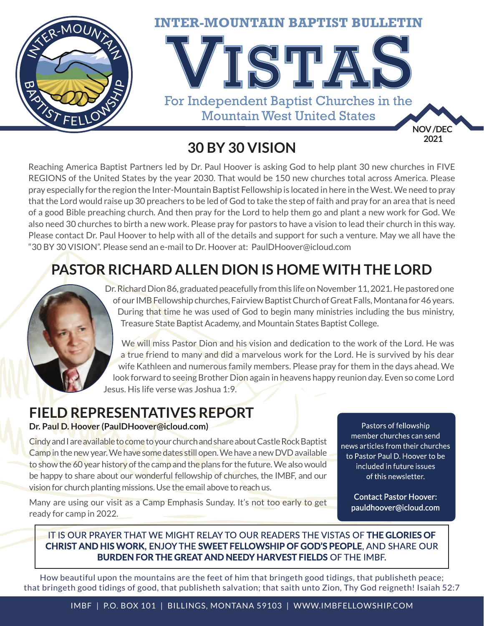

**30 BY 30 VISION**

Reaching America Baptist Partners led by Dr. Paul Hoover is asking God to help plant 30 new churches in FIVE REGIONS of the United States by the year 2030. That would be 150 new churches total across America. Please pray especially for the region the Inter-Mountain Baptist Fellowship is located in here in the West. We need to pray that the Lord would raise up 30 preachers to be led of God to take the step of faith and pray for an area that is need of a good Bible preaching church. And then pray for the Lord to help them go and plant a new work for God. We also need 30 churches to birth a new work. Please pray for pastors to have a vision to lead their church in this way. Please contact Dr. Paul Hoover to help with all of the details and support for such a venture. May we all have the "30 BY 30 VISION". Please send an e-mail to Dr. Hoover at: PaulDHoover@icloud.com

## **PASTOR RICHARD ALLEN DION IS HOME WITH THE LORD**

Dr. Richard Dion 86, graduated peacefully from this life on November 11, 2021. He pastored one of our IMB Fellowship churches, Fairview Baptist Church of Great Falls, Montana for 46 years. During that time he was used of God to begin many ministries including the bus ministry, Treasure State Baptist Academy, and Mountain States Baptist College.

We will miss Pastor Dion and his vision and dedication to the work of the Lord. He was a true friend to many and did a marvelous work for the Lord. He is survived by his dear wife Kathleen and numerous family members. Please pray for them in the days ahead. We look forward to seeing Brother Dion again in heavens happy reunion day. Even so come Lord Jesus. His life verse was Joshua 1:9.

### **FIELD REPRESENTATIVES REPORT**

#### **Dr. Paul D. Hoover (PaulDHoover@icloud.com)**

Cindy and I are available to come to your church and share about Castle Rock Baptist Camp in the new year. We have some dates still open. We have a new DVD available to show the 60 year history of the camp and the plans for the future. We also would be happy to share about our wonderful fellowship of churches, the IMBF, and our vision for church planting missions. Use the email above to reach us.

Pastors of fellowship member churches can send news articles from their churches to Pastor Paul D. Hoover to be included in future issues of this newsletter.

> **Contact Pastor Hoover:** pauldhoover@icloud.com

Many are using our visit as a Camp Emphasis Sunday. It's not too early to get ready for camp in 2022.

#### IT IS OUR PRAYER THAT WE MIGHT RELAY TO OUR READERS THE VISTAS OF THE GLORIES OF **CHRIST AND HIS WORK. ENJOY THE SWEET FELLOWSHIP OF GOD'S PEOPLE.** AND SHARE OUR **BURDEN FOR THE GREAT AND NEEDY HARVEST FIELDS OF THE IMBF.**

How beautiful upon the mountains are the feet of him that bringeth good tidings, that publisheth peace; that bringeth good tidings of good, that publisheth salvation; that saith unto Zion, Thy God reigneth! Isaiah 52:7